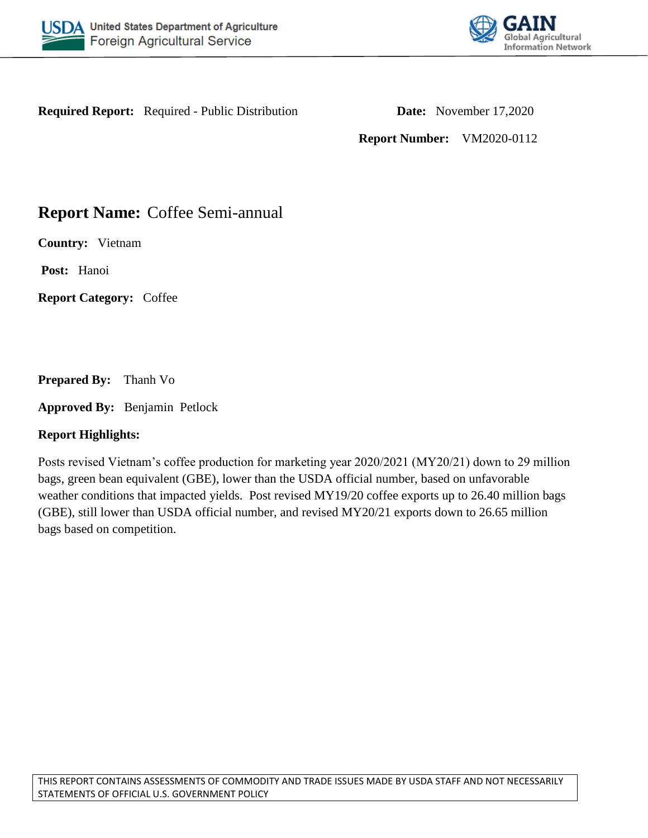



**Required Report:** Required - Public Distribution **Date:** November 17,2020

**Report Number:** VM2020-0112

# **Report Name:** Coffee Semi-annual

**Country:** Vietnam

**Post:** Hanoi

**Report Category:** Coffee

**Prepared By:** Thanh Vo

**Approved By:** Benjamin Petlock

# **Report Highlights:**

Posts revised Vietnam's coffee production for marketing year 2020/2021 (MY20/21) down to 29 million bags, green bean equivalent (GBE), lower than the USDA official number, based on unfavorable weather conditions that impacted yields. Post revised MY19/20 coffee exports up to 26.40 million bags (GBE), still lower than USDA official number, and revised MY20/21 exports down to 26.65 million bags based on competition.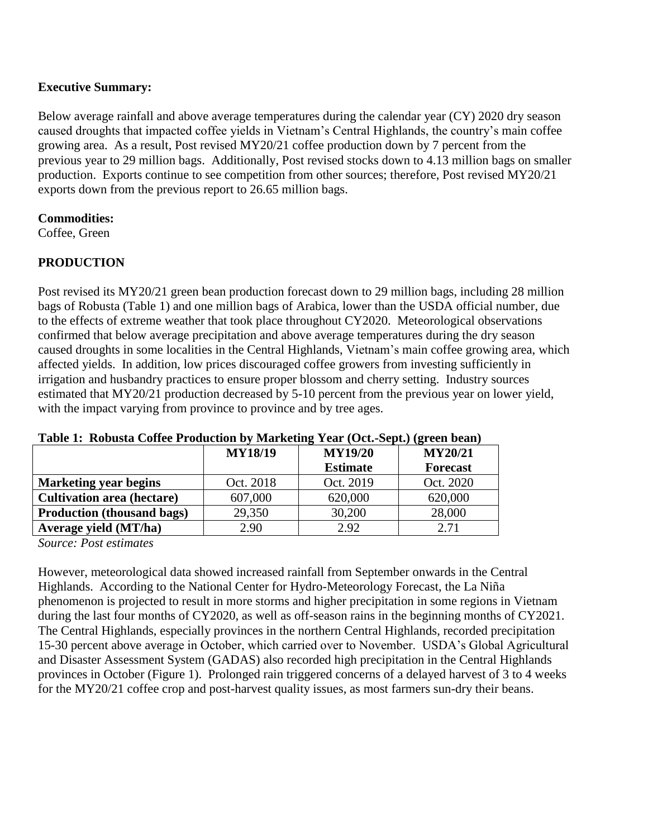# **Executive Summary:**

Below average rainfall and above average temperatures during the calendar year (CY) 2020 dry season caused droughts that impacted coffee yields in Vietnam's Central Highlands, the country's main coffee growing area. As a result, Post revised MY20/21 coffee production down by 7 percent from the previous year to 29 million bags. Additionally, Post revised stocks down to 4.13 million bags on smaller production. Exports continue to see competition from other sources; therefore, Post revised MY20/21 exports down from the previous report to 26.65 million bags.

#### **Commodities:**

Coffee, Green

# **PRODUCTION**

Post revised its MY20/21 green bean production forecast down to 29 million bags, including 28 million bags of Robusta (Table 1) and one million bags of Arabica, lower than the USDA official number, due to the effects of extreme weather that took place throughout CY2020. Meteorological observations confirmed that below average precipitation and above average temperatures during the dry season caused droughts in some localities in the Central Highlands, Vietnam's main coffee growing area, which affected yields. In addition, low prices discouraged coffee growers from investing sufficiently in irrigation and husbandry practices to ensure proper blossom and cherry setting. Industry sources estimated that MY20/21 production decreased by 5-10 percent from the previous year on lower yield, with the impact varying from province to province and by tree ages.

|                                   | <b>MY18/19</b> | <b>MY19/20</b>  | <b>MY20/21</b>  |
|-----------------------------------|----------------|-----------------|-----------------|
|                                   |                | <b>Estimate</b> | <b>Forecast</b> |
| <b>Marketing year begins</b>      | Oct. 2018      | Oct. 2019       | Oct. 2020       |
| <b>Cultivation area (hectare)</b> | 607,000        | 620,000         | 620,000         |
| <b>Production</b> (thousand bags) | 29,350         | 30,200          | 28,000          |
| Average yield (MT/ha)             | 2.90           | 2.92            | 2.71            |

#### **Table 1: Robusta Coffee Production by Marketing Year (Oct.-Sept.) (green bean)**

*Source: Post estimates*

However, meteorological data showed increased rainfall from September onwards in the Central Highlands. According to the National Center for Hydro-Meteorology Forecast, the La Niña phenomenon is projected to result in more storms and higher precipitation in some regions in Vietnam during the last four months of CY2020, as well as off-season rains in the beginning months of CY2021. The Central Highlands, especially provinces in the northern Central Highlands, recorded precipitation 15-30 percent above average in October, which carried over to November. USDA's Global Agricultural and Disaster Assessment System (GADAS) also recorded high precipitation in the Central Highlands provinces in October (Figure 1). Prolonged rain triggered concerns of a delayed harvest of 3 to 4 weeks for the MY20/21 coffee crop and post-harvest quality issues, as most farmers sun-dry their beans.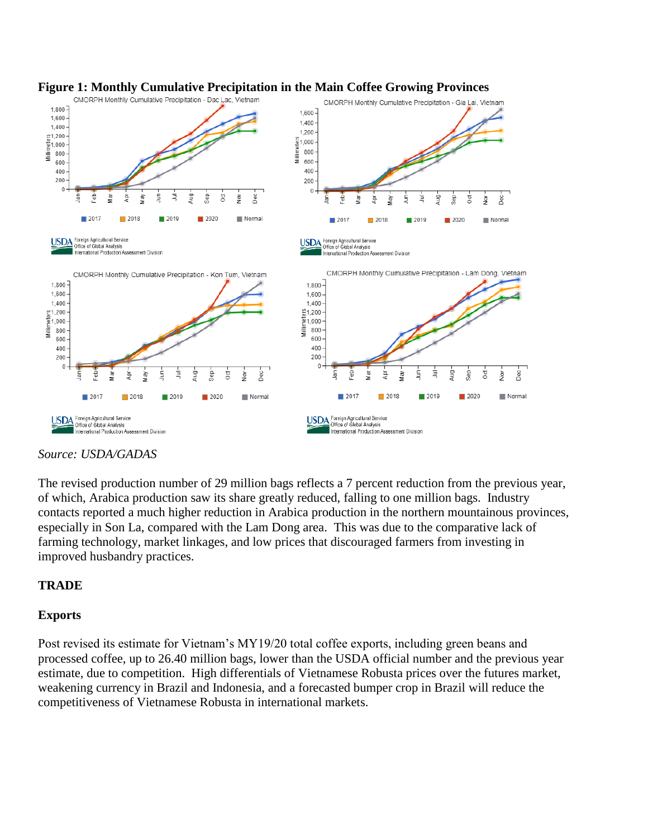

# **Figure 1: Monthly Cumulative Precipitation in the Main Coffee Growing Provinces**<br>CMORPH Monthly Cumulative Precipitation - Gia Lai Viet

#### *Source: USDA/GADAS*

The revised production number of 29 million bags reflects a 7 percent reduction from the previous year, of which, Arabica production saw its share greatly reduced, falling to one million bags. Industry contacts reported a much higher reduction in Arabica production in the northern mountainous provinces, especially in Son La, compared with the Lam Dong area. This was due to the comparative lack of farming technology, market linkages, and low prices that discouraged farmers from investing in improved husbandry practices.

# **TRADE**

# **Exports**

Post revised its estimate for Vietnam's MY19/20 total coffee exports, including green beans and processed coffee, up to 26.40 million bags, lower than the USDA official number and the previous year estimate, due to competition. High differentials of Vietnamese Robusta prices over the futures market, weakening currency in Brazil and Indonesia, and a forecasted bumper crop in Brazil will reduce the competitiveness of Vietnamese Robusta in international markets.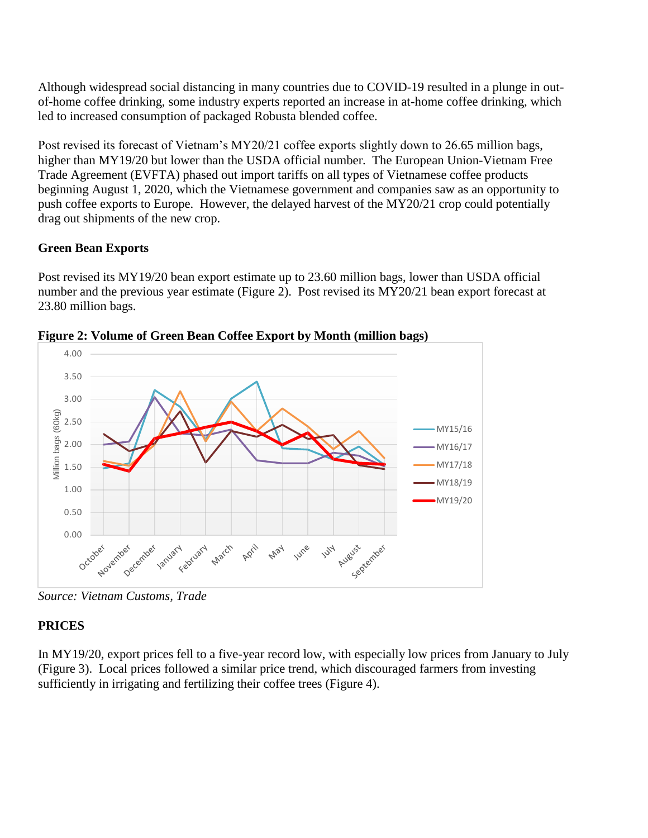Although widespread social distancing in many countries due to COVID-19 resulted in a plunge in outof-home coffee drinking, some industry experts reported an increase in at-home coffee drinking, which led to increased consumption of packaged Robusta blended coffee.

Post revised its forecast of Vietnam's MY20/21 coffee exports slightly down to 26.65 million bags, higher than MY19/20 but lower than the USDA official number. The European Union-Vietnam Free Trade Agreement (EVFTA) phased out import tariffs on all types of Vietnamese coffee products beginning August 1, 2020, which the Vietnamese government and companies saw as an opportunity to push coffee exports to Europe. However, the delayed harvest of the MY20/21 crop could potentially drag out shipments of the new crop.

# **Green Bean Exports**

Post revised its MY19/20 bean export estimate up to 23.60 million bags, lower than USDA official number and the previous year estimate (Figure 2). Post revised its MY20/21 bean export forecast at 23.80 million bags.



**Figure 2: Volume of Green Bean Coffee Export by Month (million bags)**

*Source: Vietnam Customs, Trade*

# **PRICES**

In MY19/20, export prices fell to a five-year record low, with especially low prices from January to July (Figure 3). Local prices followed a similar price trend, which discouraged farmers from investing sufficiently in irrigating and fertilizing their coffee trees (Figure 4).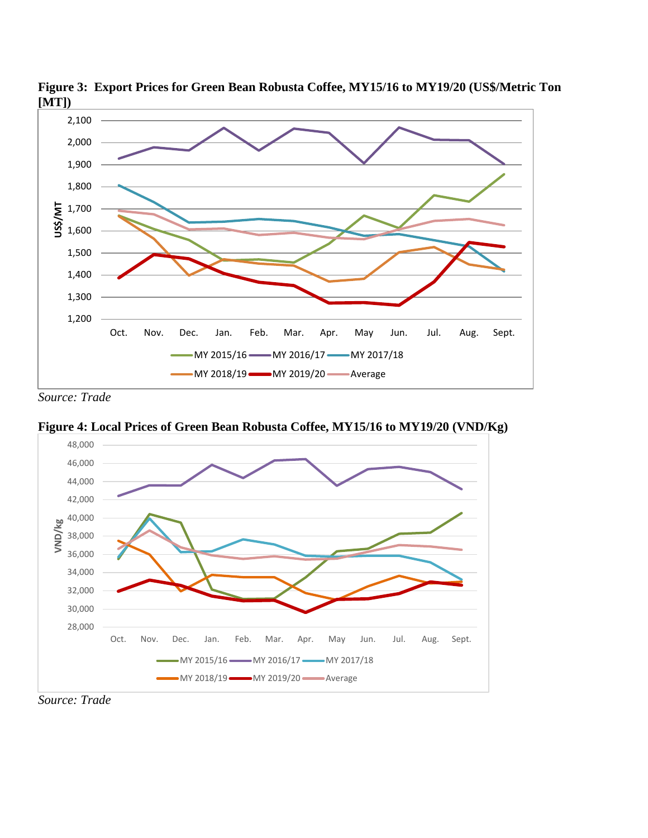

**Figure 3: Export Prices for Green Bean Robusta Coffee, MY15/16 to MY19/20 (US\$/Metric Ton [MT])**

*Source: Trade*



**Figure 4: Local Prices of Green Bean Robusta Coffee, MY15/16 to MY19/20 (VND/Kg)**

*Source: Trade*